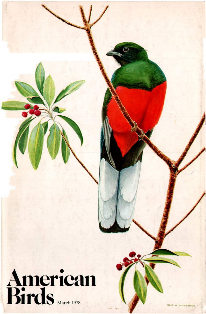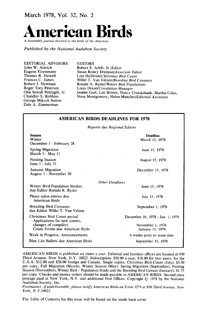**March 1978, Vol. 32, No. 2** 



**Published by the National Audubon Society** 

**EDITORIAL ADVISORS John W. Aldrich Eugene Eisenmann Thomas R. Howell Frances C. James Robert J. Newman Roger Tory Peterson Olin Sewall Pettingill, Jr. Chandler S. Robbins George Miksch Sutton Dale A. Zimmerman** 

**EDITORS.** 

**Robert S. Arbib, Jr./Editor Susan Roney Drennan/Associate Editor Lois Heilbrun/Christmas Bird Count Willet T. Van Velzen/Breeding Bird Censuses Ronald A. Ryder/Winter Bird Populations Louis Dixon/Circulation Manager Jeanne Gart, Lee Brown, Nancy Cruickshank, Martha Coles, Nena Montgomery, Helen Menchef/Editorial Assistants** 

| <b>AMERICAN BIRDS DEADLINES FOR 1978</b>                                                                              |                                                                           |
|-----------------------------------------------------------------------------------------------------------------------|---------------------------------------------------------------------------|
| Reports due Regional Editors                                                                                          |                                                                           |
| <b>Season</b><br>Winter<br>December 1 - February 28                                                                   | <b>Deadline</b><br>March 15, 1978                                         |
| Spring Migration<br>March 1 - May 31                                                                                  | June 15, 1978                                                             |
| <b>Nesting Season</b><br>June $1 -$ July 31                                                                           | August 15, 1978                                                           |
| <b>Autumn Migration</b><br>August 1 - November 30                                                                     | December 15, 1978                                                         |
| Winter Bird-Population Studies<br>due Editor Ronald R. Ryder                                                          | <b>Other Deadlines</b><br>June 15, 1978                                   |
| Photo salon entries due<br>American Birds                                                                             | July 15, 1978                                                             |
| <b>Breeding Bird Censuses</b><br>due Editor Willet T. Van Velzen                                                      | September 1, 1978                                                         |
| Christmas Bird Count period<br>Applications for new counts,<br>changes of compilers<br>Count Forms due American Birds | December 16, 1978 - Jan. 1, 1979<br>November 1, 1978.<br>January 15, 1979 |
| Work in Progress, Announcements                                                                                       | 6 weeks prior to issue date                                               |
| Blue List Ballots due American Birds                                                                                  | September 15, 1978                                                        |

**AMERICAN BIRDS is published six times a yea•. Editorial and business offices are located at 950 Third Avenue, New York, N.Y. 10022. Subscription: \$10.00 a year, \$18.00 for two years, for the U.S.A. \$12.00 and \$20.00 foreign and Canada. Single copies: Christmas Bird Count (July), \$5.50 per copy; Fall Migration (March), Winter Season (May), Spring Migration (September), Nesting Season (November), Winter Bird - Population Study and the Breeding Bird Census (January), \$1.75 per copy. Checks and money orders should be made payable to AMERICAN BIRDS. Second class**  postage paid at New York, N.Y. and additional Post Offices. Copyright  $©$  1978 by the National **Audubon Society, Inc.** 

**postmaster: if undeliverable, please notify American Birds on Form 3579 at 950 Third Avenue, New York, N.Y. 10022.** 

**The Table of Contents for this issue will be found on the inside back cover**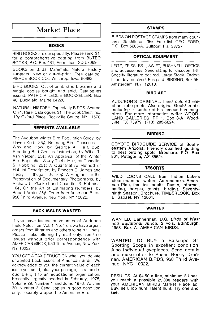## **Market Place**

### **BOOKS**

**BIRD BOOKS are our specialty. Please send \$1. for a comprehensive catalog from BUTEO BOOKS, P.O. Box 481, Vermillion, SD 57069.** 

**BOOKS on Birds, Mammals, Natural History subjects. New or out-of-print. Free catalog. PIERCE BOOK CO., Winthrop, Iowa 50682.** 

**BIRD BOOKS: Out of print, rare. Libraries and single copies bought and sold. Catalogues •ssued. PATRICIA LEDLIE.BOOKSELLER, Box 46, Buckfield, Maine 04220.** 

**NATURAL HISTORY. Especially BIRDS. Scarce, O P., Rare. Catalogues \$1. The Book Chest Inc., 19y Oxford Place, Rockville Centre, NY 11570.** 

#### **REPRINTS AVAILABLE**

**The Audubon Winter Bird-Population Study, by Haven Kolb. 25½; Breeding-Bird Censuses-Why and How, by George A. Hall, 25½; Breeding-Bird Census Instruction, by Willet T. Van Velzen, 25½; An Appraisal of the Winter Bird-Population Study Technique, by Chandler S Robbins, 25½; A Quantitative Method of Habitat Description, by Frances C. James and Henry H. Shugart, Jr., 85½; A Program for the Preservation of Documentary Photographs, by Richard L. Plunkett and Chandler S. Robbins, 10½, On the Art of Estimating Numbers, by Robert Arbib, 25½. Order from American Birds, 950 Third Avenue, New York, NY 10022.** 

#### **BACK ISSUES WANTED**

**If you have issues or volumes of Audubon**  Field Notes from Vol. 1, No. 1 on, we have urgent **orders from libraries and others to help fill sets. Please make offering by mail only; send no issues** without prior correspondence with **AMERICAN BIRDS, 950 Third Avenue, New York, NY 10022.** 

**YOU GET A TAX DEDUCTION when you donate unwanted back issues of American Birds. We acknowledge to you the current value of each issue you send, plus your postage, as a tax deductible gift to an educational organization. Presently urgently needed is February, 1975, Volume 29, Number 1 and June, 1976, Volume 30, Number 3. Send copies in good condition only, securely wrapped to American Birds** 

#### **STAMPS**

**BIRDS ON POSTAGE STAMPS from many countries. 25 different 35½. Free list. GEO. FORD, P.O. Box 5203-A, Gulfport, Fla. 33737.** 

#### **OPTICAL EQUIPMENT**

**LEITZ, ZEISS, B&L, SWIFT, BUSHNELL OPTICS and accessories. Send stamp for discount I•st Specify literature desired. Large Stock. Orders filled day received. Postpaid. BIRDING, Box 5E, Amsterdam, N.Y. 12010.** 

#### **BIRD ART**

**AUDUBON'S ORIGINAL, hand colored elephant folio prints. Also original Gould prints, including a number of his famous hummingbirds. For more information write: WOOD-LAND GALLERIES, RR 1, Box 3-A, Woodville, TX 75979. (713) 283-5024.** 

#### **BIRDING**

**COYOTE BIRDGUIDE SERVICE of Southeastern Arizona. Friendly qualified guiding to best birding spots. Brochure: P.O Box 861, Patagonia, AZ 85624.** 

#### **RESORTS**

**WILD LOONS CALL from Indian Lake's clear mountain waters, Adirondacks. Amencan Plan, families, adults. Rustic, informal, sailing, horses, tennis, birding. Seventyninth Season. Brochure. TIMBERLOCK, Box B, Sabael, NY 12864.** 

### **WANTED**

**WANTED. Bannerman, D.G. Birds of West**  and Equatorial Africa. 2 vols, Edinburgh, **1953. Box A. AMERICAN BIRDS.** 

**WANTED TO BUY--a Balscope Sr**  Spotting Scope in excellent condition **Also individual eyepieces. Send details and make offer to Susan Roney Drennan, AMERICAN BIRDS, 950 Third Avenue, NYC 10022.** 

**RESULTS! At \$4.50 a line, minimum 3 hnes, you reach a possible 25,000 readers w•th your AMERICAN BIRDS Market Place ad. Buy, sell, job hunt, talent hunt. Try one and see.**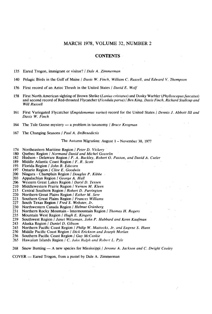#### **MARCH 1978, VOLUME 32, NUMBER 2**

#### **CONTENTS**

**135 Eared Trogon, immigrant or visitor? / Dale A. Zimmerman** 

- **140 Pelagic Birds in the Gulf of Maine / Davis W. Finch, William C. Russell, and Edward V. Thompson**
- **156 First record of an Aztec Thrush in the United States / David E. Wolf**
- **158 First North American sighting of Brown Shrike (Lanius cristatus) and Dusky Warbler (Phylloscopusfuscatus) and second record of Red-throated Flycatcher (Ficedula parva) / Ben King, Davis Finch, Richard Stallcup and Will Russell**
- **161 First Variegated Flycatcher (Empidonomus varius) record for the United States / Dennis J. Abbott III and Davis W. Finch**
- 164 The Tule Goose mystery a problem in taxonomy *| Bruce Krogman*
- **167 The Changing Seasons / Paul A. DeBenedictis**

**The Autumn Migration: August I - November 30, 1977** 

- 174 Northeastern Maritime Region / Peter D. Vickery **180** Ouébec Region / Normand David and Michel Gos
- 180 Québec Region / *Normand David and Michel Gosselin* 182 Hudson Delaware Region / *P. A. Buckley, Robert O.*
- 182 Hudson Delaware Region *| P. A. Buckley, Robert O. Paxton, and David A. Cutler* **189** Middle Atlantic Coast Region *| F. R. Scott*
- 189 Middle Atlantic Coast Region / *F. R. Scott* 193 Florida Region / *John B. Edscorn*
- **193 Florida Region / John B. Edscorn**
- 197 Ontario Region / Clive E. Goodwin<br>200 Niagara Champlain Region / Dous
- **200 Niagara Champlain Region / Douglas P. Kibbe**
- **203 Appalachian Region / George A. Hall**
- **206 Western Great Lakes Region / Daryl D. Tessen**
- **210 Middlewestern Prairie Region ! Vernon M. Kleen**
- 215 Central Southern Region / Robert D. Purrington 220 Northern Great Plains Region / Esther M. Serr
- **220 Northern Great Plains Region / Esther M. Serr**
- 223 Southern Great Plains Region / Frances Williams<br>227 South Texas Region / Fred S. Webster, Jr.
- **227 South Texas Region / Fred S. Webster, Jr.**
- 230 Northwestern Canada Region / *Helmut Grünberg* 231 Northern Rocky Mountain Intermountain Region
- 231 Northern Rocky Mountain Intermountain Region / *Thomas H. Rogers* 235 Mountain West Region / *Hugh E. Kingery*
- **235 Mountain West Region ! Hugh E. Kingery**
- 239 Southwest Region / Janet Witzeman, John P. Hubbard and Kenn Kaufman *243* Alaska Region / Daniel D. Gibson
- **243 Alaska Region / Daniel D. Gibson**
- 245 Northern Pacific Coast Region *| Philip W. Mattocks, Jr. and Eugene S. Hunn* **250** Middle Pacific Coast Region *| Dick Erickson and Joseph Morlan*
- **250 Middle Pacific Coast Region ! Dick Erickson and Joseph Morlan**
- **256 Southern Pacific Coast Region / Guy McCaskie**
- Hawaiian Islands Region / C. John Ralph and Robert L. Pyle
- 268 Snow Bunting A new species for Mississippi *| Jerome A. Jackson and C. Dwight Cooley*

**COVER -- Eared Trogon, from a pastel by Dale A. Zimmerman**